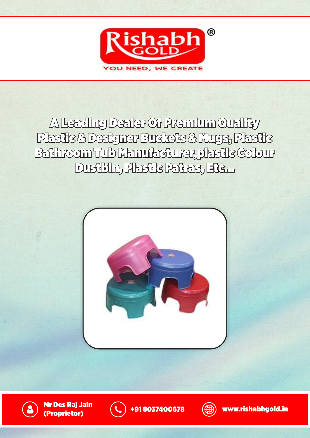

A Leading Dealer Of Premium Quality Plastic & Designer Buckets & Mugs, Plastic Bathroom Tub Manufacturer,plastic Colour Dustbin, Plastic Patras, Etc...



Mr Des Raj Jain mr ves Kaj Jain (\* ) +91 8037400678 (\* ) www.rishabhgold.in<br>(Proprietor)



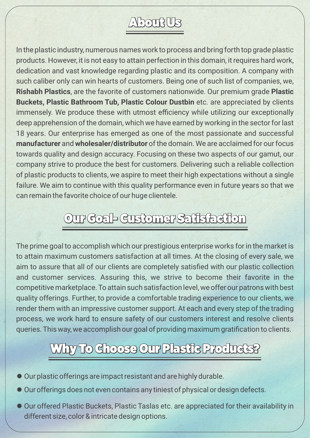## About Us

In the plastic industry, numerous names work to process and bring forth top grade plastic products. However, it is not easy to attain perfection in this domain, it requires hard work, dedication and vast knowledge regarding plastic and its composition. A company with such caliber only can win hearts of customers. Being one of such list of companies, we, **Rishabh Plastics**, are the favorite of customers nationwide. Our premium grade **Plastic Buckets, Plastic Bathroom Tub, Plastic Colour Dustbin** etc. are appreciated by clients immensely. We produce these with utmost efficiency while utilizing our exceptionally deep apprehension of the domain, which we have earned by working in the sector for last 18 years. Our enterprise has emerged as one of the most passionate and successful **manufacturer** and **wholesaler/distributor** of the domain. We are acclaimed for our focus towards quality and design accuracy. Focusing on these two aspects of our gamut, our company strive to produce the best for customers. Delivering such a reliable collection of plastic products to clients, we aspire to meet their high expectations without a single failure. We aim to continue with this quality performance even in future years so that we can remain the favorite choice of our huge clientele.

## Our Goal- Customer Satisfaction

The prime goal to accomplish which our prestigious enterprise works for in the market is to attain maximum customers satisfaction at all times. At the closing of every sale, we aim to assure that all of our clients are completely satisfied with our plastic collection and customer services. Assuring this, we strive to become their favorite in the competitive marketplace. To attain such satisfaction level, we offer our patrons with best quality offerings. Further, to provide a comfortable trading experience to our clients, we render them with an impressive customer support. At each and every step of the trading process, we work hard to ensure safety of our customers interest and resolve clients queries. This way, we accomplish our goal of providing maximum gratification to clients.

#### Why To Choose Our Plastic Products?

- Our plastic offerings are impact resistant and are highly durable.
- Our offerings does not even contains any tiniest of physical or design defects.
- Our offered Plastic Buckets, Plastic Taslas etc. are appreciated for their availability in different size, color & intricate design options.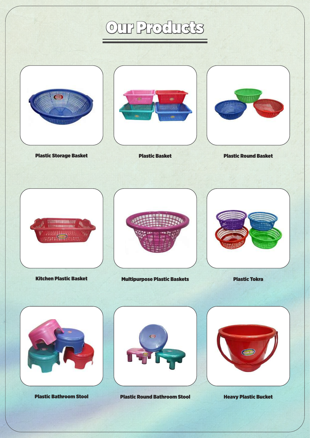# Our Products



Plastic Bathroom Stool Plastic Round Bathroom Stool Heavy Plastic Bucket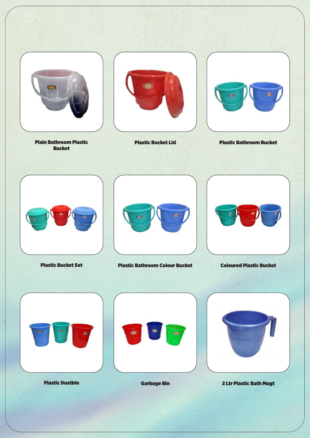